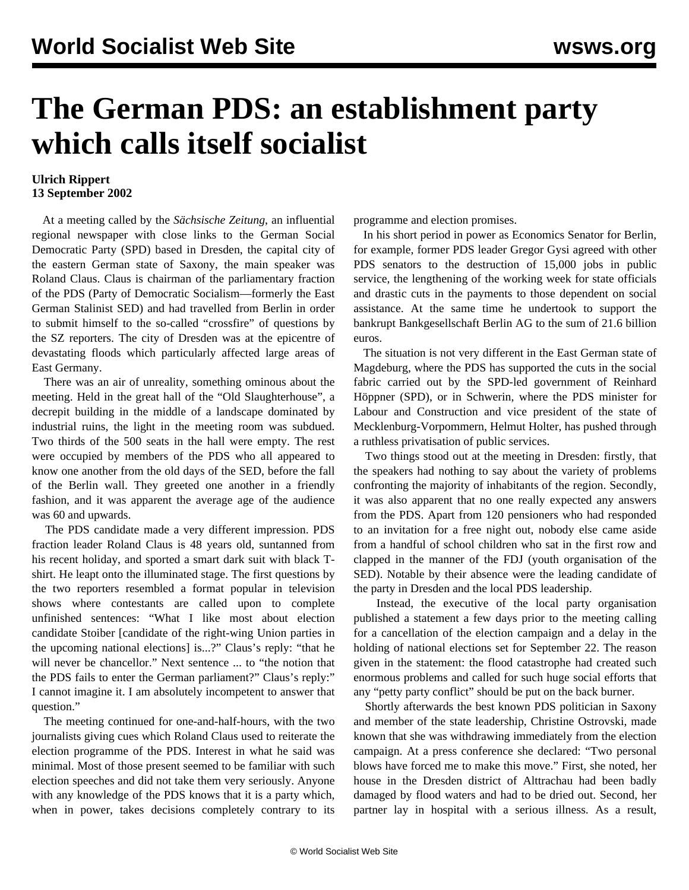## **The German PDS: an establishment party which calls itself socialist**

## **Ulrich Rippert 13 September 2002**

 At a meeting called by the *Sächsische Zeitung*, an influential regional newspaper with close links to the German Social Democratic Party (SPD) based in Dresden, the capital city of the eastern German state of Saxony, the main speaker was Roland Claus. Claus is chairman of the parliamentary fraction of the PDS (Party of Democratic Socialism—formerly the East German Stalinist SED) and had travelled from Berlin in order to submit himself to the so-called "crossfire" of questions by the SZ reporters. The city of Dresden was at the epicentre of devastating floods which particularly affected large areas of East Germany.

 There was an air of unreality, something ominous about the meeting. Held in the great hall of the "Old Slaughterhouse", a decrepit building in the middle of a landscape dominated by industrial ruins, the light in the meeting room was subdued. Two thirds of the 500 seats in the hall were empty. The rest were occupied by members of the PDS who all appeared to know one another from the old days of the SED, before the fall of the Berlin wall. They greeted one another in a friendly fashion, and it was apparent the average age of the audience was 60 and upwards.

 The PDS candidate made a very different impression. PDS fraction leader Roland Claus is 48 years old, suntanned from his recent holiday, and sported a smart dark suit with black Tshirt. He leapt onto the illuminated stage. The first questions by the two reporters resembled a format popular in television shows where contestants are called upon to complete unfinished sentences: "What I like most about election candidate Stoiber [candidate of the right-wing Union parties in the upcoming national elections] is...?" Claus's reply: "that he will never be chancellor." Next sentence ... to "the notion that the PDS fails to enter the German parliament?" Claus's reply:" I cannot imagine it. I am absolutely incompetent to answer that question."

 The meeting continued for one-and-half-hours, with the two journalists giving cues which Roland Claus used to reiterate the election programme of the PDS. Interest in what he said was minimal. Most of those present seemed to be familiar with such election speeches and did not take them very seriously. Anyone with any knowledge of the PDS knows that it is a party which, when in power, takes decisions completely contrary to its programme and election promises.

 In his short period in power as Economics Senator for Berlin, for example, former PDS leader Gregor Gysi agreed with other PDS senators to the destruction of 15,000 jobs in public service, the lengthening of the working week for state officials and drastic cuts in the payments to those dependent on social assistance. At the same time he undertook to support the bankrupt Bankgesellschaft Berlin AG to the sum of 21.6 billion euros.

 The situation is not very different in the East German state of Magdeburg, where the PDS has supported the cuts in the social fabric carried out by the SPD-led government of Reinhard Höppner (SPD), or in Schwerin, where the PDS minister for Labour and Construction and vice president of the state of Mecklenburg-Vorpommern, Helmut Holter, has pushed through a ruthless privatisation of public services.

 Two things stood out at the meeting in Dresden: firstly, that the speakers had nothing to say about the variety of problems confronting the majority of inhabitants of the region. Secondly, it was also apparent that no one really expected any answers from the PDS. Apart from 120 pensioners who had responded to an invitation for a free night out, nobody else came aside from a handful of school children who sat in the first row and clapped in the manner of the FDJ (youth organisation of the SED). Notable by their absence were the leading candidate of the party in Dresden and the local PDS leadership.

 Instead, the executive of the local party organisation published a statement a few days prior to the meeting calling for a cancellation of the election campaign and a delay in the holding of national elections set for September 22. The reason given in the statement: the flood catastrophe had created such enormous problems and called for such huge social efforts that any "petty party conflict" should be put on the back burner.

 Shortly afterwards the best known PDS politician in Saxony and member of the state leadership, Christine Ostrovski, made known that she was withdrawing immediately from the election campaign. At a press conference she declared: "Two personal blows have forced me to make this move." First, she noted, her house in the Dresden district of Alttrachau had been badly damaged by flood waters and had to be dried out. Second, her partner lay in hospital with a serious illness. As a result,